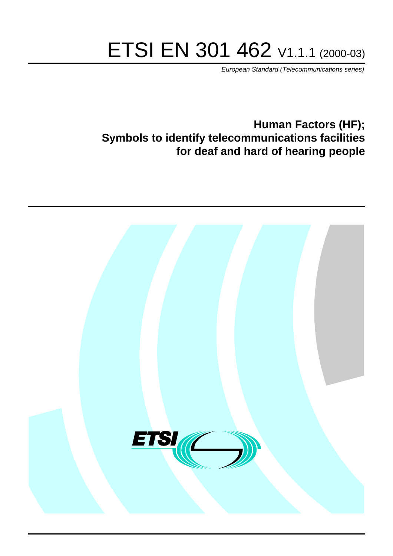# ETSI EN 301 462 V1.1.1 (2000-03)

European Standard (Telecommunications series)

# **Human Factors (HF); Symbols to identify telecommunications facilities for deaf and hard of hearing people**

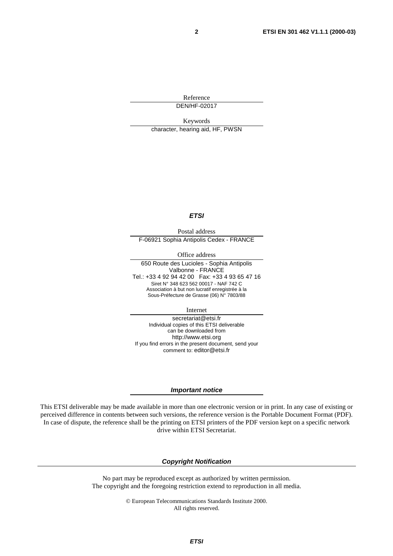Reference DEN/HF-02017

Keywords character, hearing aid, HF, PWSN

#### **ETSI**

Postal address F-06921 Sophia Antipolis Cedex - FRANCE

Office address

650 Route des Lucioles - Sophia Antipolis Valbonne - FRANCE Tel.: +33 4 92 94 42 00 Fax: +33 4 93 65 47 16 Siret N° 348 623 562 00017 - NAF 742 C Association à but non lucratif enregistrée à la Sous-Préfecture de Grasse (06) N° 7803/88

Internet

secretariat@etsi.fr Individual copies of this ETSI deliverable can be downloaded from http://www.etsi.org If you find errors in the present document, send your comment to: editor@etsi.fr

#### **Important notice**

This ETSI deliverable may be made available in more than one electronic version or in print. In any case of existing or perceived difference in contents between such versions, the reference version is the Portable Document Format (PDF). In case of dispute, the reference shall be the printing on ETSI printers of the PDF version kept on a specific network drive within ETSI Secretariat.

#### **Copyright Notification**

No part may be reproduced except as authorized by written permission. The copyright and the foregoing restriction extend to reproduction in all media.

> © European Telecommunications Standards Institute 2000. All rights reserved.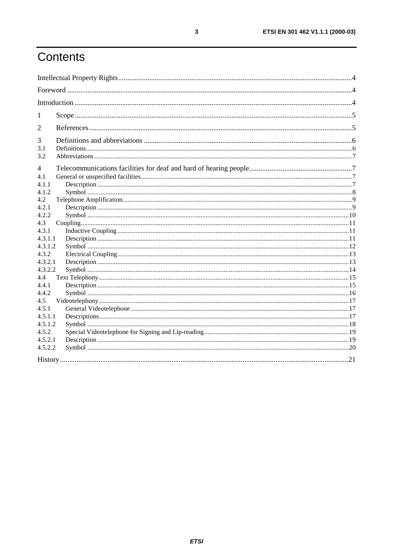# Contents

| 1                  |  |  |  |
|--------------------|--|--|--|
| 2                  |  |  |  |
| 3                  |  |  |  |
| 3.1<br>3.2         |  |  |  |
| $\overline{4}$     |  |  |  |
| 4.1<br>4.1.1       |  |  |  |
| 4.1.2              |  |  |  |
| 4.2<br>4.2.1       |  |  |  |
| 4.2.2<br>4.3       |  |  |  |
| 4.3.1              |  |  |  |
| 4.3.1.1<br>4.3.1.2 |  |  |  |
| 4.3.2              |  |  |  |
| 4.3.2.1<br>4.3.2.2 |  |  |  |
| 4.4<br>4.4.1       |  |  |  |
| 4.4.2              |  |  |  |
| 4.5<br>4.5.1       |  |  |  |
| 4.5.1.1            |  |  |  |
| 4.5.1.2<br>4.5.2   |  |  |  |
| 4.5.2.1<br>4.5.2.2 |  |  |  |
|                    |  |  |  |
|                    |  |  |  |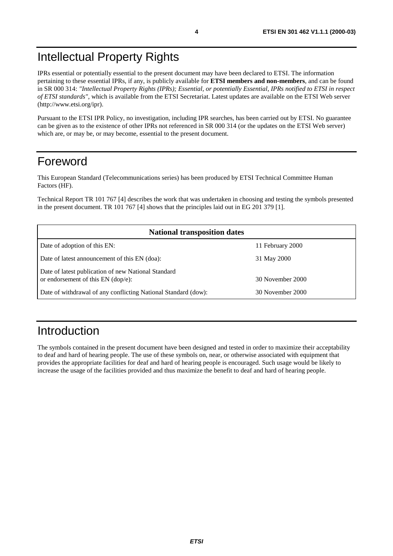# Intellectual Property Rights

IPRs essential or potentially essential to the present document may have been declared to ETSI. The information pertaining to these essential IPRs, if any, is publicly available for **ETSI members and non-members**, and can be found in SR 000 314: *"Intellectual Property Rights (IPRs); Essential, or potentially Essential, IPRs notified to ETSI in respect of ETSI standards"*, which is available from the ETSI Secretariat. Latest updates are available on the ETSI Web server (http://www.etsi.org/ipr).

Pursuant to the ETSI IPR Policy, no investigation, including IPR searches, has been carried out by ETSI. No guarantee can be given as to the existence of other IPRs not referenced in SR 000 314 (or the updates on the ETSI Web server) which are, or may be, or may become, essential to the present document.

## Foreword

This European Standard (Telecommunications series) has been produced by ETSI Technical Committee Human Factors (HF).

Technical Report TR 101 767 [4] describes the work that was undertaken in choosing and testing the symbols presented in the present document. TR 101 767 [4] shows that the principles laid out in EG 201 379 [1].

| <b>National transposition dates</b>                                                         |                  |  |  |
|---------------------------------------------------------------------------------------------|------------------|--|--|
| Date of adoption of this EN:                                                                | 11 February 2000 |  |  |
| Date of latest announcement of this EN (doa):                                               | 31 May 2000      |  |  |
| Date of latest publication of new National Standard<br>or endorsement of this $EN$ (dop/e): | 30 November 2000 |  |  |
| Date of withdrawal of any conflicting National Standard (dow):                              | 30 November 2000 |  |  |

# Introduction

The symbols contained in the present document have been designed and tested in order to maximize their acceptability to deaf and hard of hearing people. The use of these symbols on, near, or otherwise associated with equipment that provides the appropriate facilities for deaf and hard of hearing people is encouraged. Such usage would be likely to increase the usage of the facilities provided and thus maximize the benefit to deaf and hard of hearing people.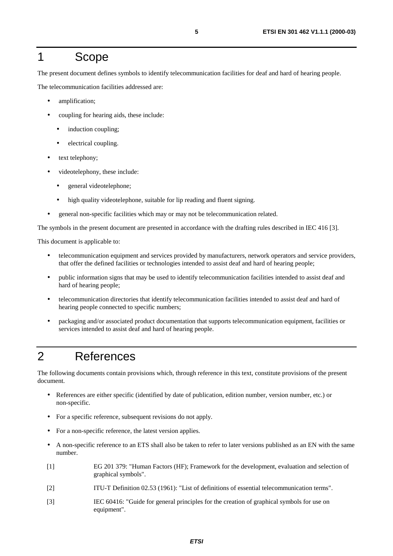### 1 Scope

The present document defines symbols to identify telecommunication facilities for deaf and hard of hearing people.

The telecommunication facilities addressed are:

- amplification;
- coupling for hearing aids, these include:
	- induction coupling;
	- electrical coupling.
- text telephony;
- videotelephony, these include:
	- general videotelephone;
	- high quality videotelephone, suitable for lip reading and fluent signing.
- general non-specific facilities which may or may not be telecommunication related.

The symbols in the present document are presented in accordance with the drafting rules described in IEC 416 [3].

This document is applicable to:

- telecommunication equipment and services provided by manufacturers, network operators and service providers, that offer the defined facilities or technologies intended to assist deaf and hard of hearing people;
- public information signs that may be used to identify telecommunication facilities intended to assist deaf and hard of hearing people;
- telecommunication directories that identify telecommunication facilities intended to assist deaf and hard of hearing people connected to specific numbers;
- packaging and/or associated product documentation that supports telecommunication equipment, facilities or services intended to assist deaf and hard of hearing people.

# 2 References

The following documents contain provisions which, through reference in this text, constitute provisions of the present document.

- References are either specific (identified by date of publication, edition number, version number, etc.) or non-specific.
- For a specific reference, subsequent revisions do not apply.
- For a non-specific reference, the latest version applies.
- A non-specific reference to an ETS shall also be taken to refer to later versions published as an EN with the same number.
- [1] EG 201 379: "Human Factors (HF); Framework for the development, evaluation and selection of graphical symbols".
- [2] ITU-T Definition 02.53 (1961): "List of definitions of essential telecommunication terms".
- [3] IEC 60416: "Guide for general principles for the creation of graphical symbols for use on equipment".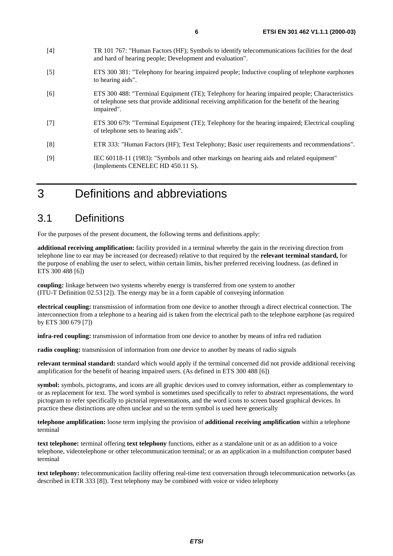- [4] TR 101 767: "Human Factors (HF); Symbols to identify telecommunications facilities for the deaf and hard of hearing people; Development and evaluation".
- [5] ETS 300 381: "Telephony for hearing impaired people; Inductive coupling of telephone earphones to hearing aids".
- [6] ETS 300 488: "Terminal Equipment (TE); Telephony for hearing impaired people; Characteristics of telephone sets that provide additional receiving amplification for the benefit of the hearing impaired".
- [7] ETS 300 679: "Terminal Equipment (TE); Telephony for the hearing impaired; Electrical coupling of telephone sets to hearing aids".
- [8] ETR 333: "Human Factors (HF); Text Telephony; Basic user requirements and recommendations".
- [9] IEC 60118-11 (1983): "Symbols and other markings on hearing aids and related equipment" (Implements CENELEC HD 450.11 S).

# 3 Definitions and abbreviations

### 3.1 Definitions

For the purposes of the present document, the following terms and definitions apply:

**additional receiving amplification:** facility provided in a terminal whereby the gain in the receiving direction from telephone line to ear may be increased (or decreased) relative to that required by the **relevant terminal standard,** for the purpose of enabling the user to select, within certain limits, his/her preferred receiving loudness. (as defined in ETS 300 488 [6])

**coupling:** linkage between two systems whereby energy is transferred from one system to another (ITU-T Definition 02.53 [2]). The energy may be in a form capable of conveying information

**electrical coupling:** transmission of information from one device to another through a direct electrical connection. The interconnection from a telephone to a hearing aid is taken from the electrical path to the telephone earphone (as required by ETS 300 679 [7])

**infra-red coupling:** transmission of information from one device to another by means of infra red radiation

**radio coupling:** transmission of information from one device to another by means of radio signals

**relevant terminal standard:** standard which would apply if the terminal concerned did not provide additional receiving amplification for the benefit of hearing impaired users. (As defined in ETS 300 488 [6])

**symbol:** symbols, pictograms, and icons are all graphic devices used to convey information, either as complementary to or as replacement for text. The word symbol is sometimes used specifically to refer to abstract representations, the word pictogram to refer specifically to pictorial representations, and the word icons to screen based graphical devices. In practice these distinctions are often unclear and so the term symbol is used here generically

**telephone amplification:** loose term implying the provision of **additional receiving amplification** within a telephone terminal

**text telephone:** terminal offering **text telephony** functions, either as a standalone unit or as an addition to a voice telephone, videotelephone or other telecommunication terminal; or as an application in a multifunction computer based terminal

**text telephony:** telecommunication facility offering real-time text conversation through telecommunication networks (as described in ETR 333 [8]). Text telephony may be combined with voice or video telephony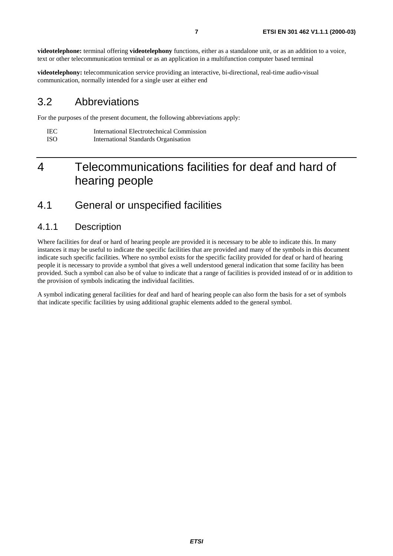**videotelephone:** terminal offering **videotelephony** functions, either as a standalone unit, or as an addition to a voice, text or other telecommunication terminal or as an application in a multifunction computer based terminal

**videotelephony:** telecommunication service providing an interactive, bi-directional, real-time audio-visual communication, normally intended for a single user at either end

### 3.2 Abbreviations

For the purposes of the present document, the following abbreviations apply:

| IEC -      | International Electrotechnical Commission |
|------------|-------------------------------------------|
| <b>ISO</b> | International Standards Organisation      |

# 4 Telecommunications facilities for deaf and hard of hearing people

### 4.1 General or unspecified facilities

#### 4.1.1 Description

Where facilities for deaf or hard of hearing people are provided it is necessary to be able to indicate this. In many instances it may be useful to indicate the specific facilities that are provided and many of the symbols in this document indicate such specific facilities. Where no symbol exists for the specific facility provided for deaf or hard of hearing people it is necessary to provide a symbol that gives a well understood general indication that some facility has been provided. Such a symbol can also be of value to indicate that a range of facilities is provided instead of or in addition to the provision of symbols indicating the individual facilities.

A symbol indicating general facilities for deaf and hard of hearing people can also form the basis for a set of symbols that indicate specific facilities by using additional graphic elements added to the general symbol.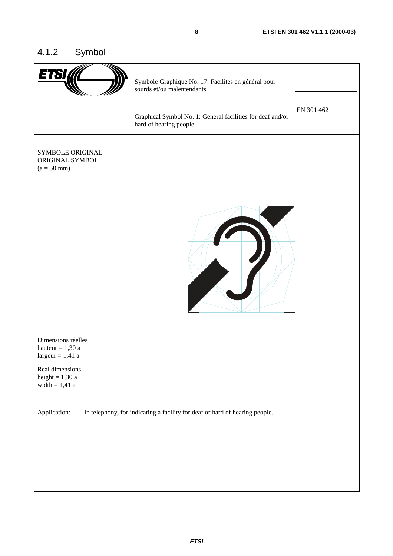# 4.1.2 Symbol

|                                                                                             | Symbole Graphique No. 17: Facilites en général pour<br>sourds et/ou malentendants    |            |
|---------------------------------------------------------------------------------------------|--------------------------------------------------------------------------------------|------------|
|                                                                                             | Graphical Symbol No. 1: General facilities for deaf and/or<br>hard of hearing people | EN 301 462 |
| SYMBOLE ORIGINAL<br>ORIGINAL SYMBOL<br>$(a = 50$ mm)                                        |                                                                                      |            |
| Dimensions réelles<br>hauteur $= 1,30$ a<br>largeur = $1,41$ a                              |                                                                                      |            |
| Real dimensions<br>height = $1,30$ a<br>width $= 1,41$ a                                    |                                                                                      |            |
| Application:<br>In telephony, for indicating a facility for deaf or hard of hearing people. |                                                                                      |            |
|                                                                                             |                                                                                      |            |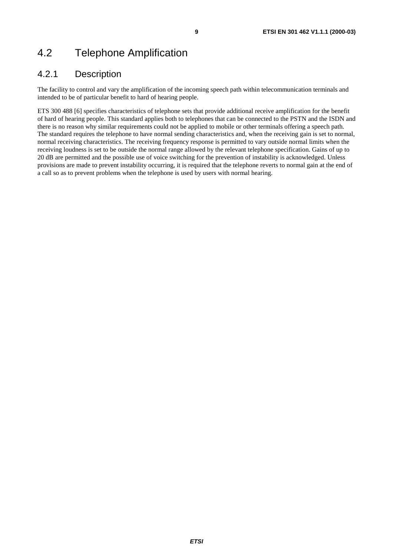# 4.2 Telephone Amplification

### 4.2.1 Description

The facility to control and vary the amplification of the incoming speech path within telecommunication terminals and intended to be of particular benefit to hard of hearing people.

ETS 300 488 [6] specifies characteristics of telephone sets that provide additional receive amplification for the benefit of hard of hearing people. This standard applies both to telephones that can be connected to the PSTN and the ISDN and there is no reason why similar requirements could not be applied to mobile or other terminals offering a speech path. The standard requires the telephone to have normal sending characteristics and, when the receiving gain is set to normal, normal receiving characteristics. The receiving frequency response is permitted to vary outside normal limits when the receiving loudness is set to be outside the normal range allowed by the relevant telephone specification. Gains of up to 20 dB are permitted and the possible use of voice switching for the prevention of instability is acknowledged. Unless provisions are made to prevent instability occurring, it is required that the telephone reverts to normal gain at the end of a call so as to prevent problems when the telephone is used by users with normal hearing.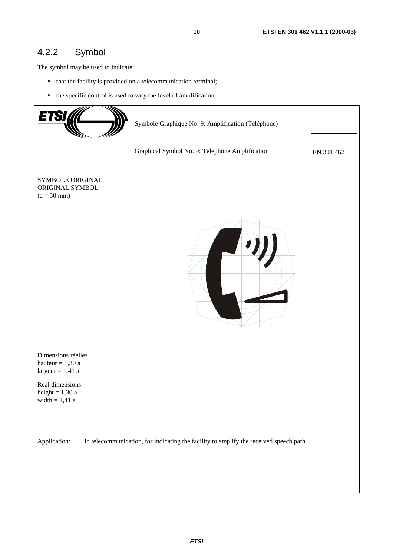### 4.2.2 Symbol

The symbol may be used to indicate:

- that the facility is provided on a telecommunication terminal;
- the specific control is used to vary the level of amplification.

|                                                                                                        | Symbole Graphique No. 9: Amplification (Téléphone) |            |  |
|--------------------------------------------------------------------------------------------------------|----------------------------------------------------|------------|--|
|                                                                                                        | Graphical Symbol No. 9: Telephone Amplification    | EN 301 462 |  |
| SYMBOLE ORIGINAL<br>ORIGINAL SYMBOL<br>$(a = 50$ mm)                                                   |                                                    |            |  |
| Dimensions réelles<br>hauteur = $1,30$ a<br>$largeur = 1,41$ a                                         |                                                    |            |  |
| Real dimensions<br>height = $1,30$ a<br>width $= 1,41$ a                                               |                                                    |            |  |
| In telecommunication, for indicating the facility to amplify the received speech path.<br>Application: |                                                    |            |  |
|                                                                                                        |                                                    |            |  |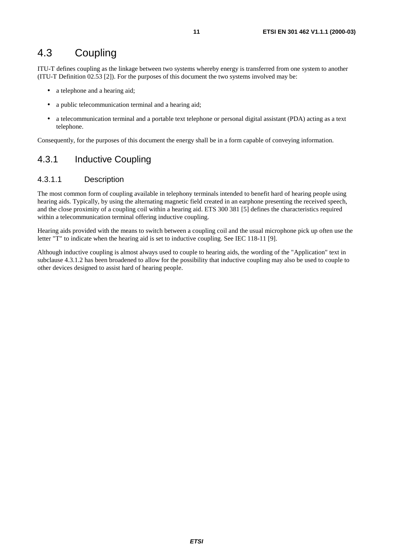### 4.3 Coupling

ITU-T defines coupling as the linkage between two systems whereby energy is transferred from one system to another (ITU-T Definition 02.53 [2]). For the purposes of this document the two systems involved may be:

- a telephone and a hearing aid;
- a public telecommunication terminal and a hearing aid;
- a telecommunication terminal and a portable text telephone or personal digital assistant (PDA) acting as a text telephone.

Consequently, for the purposes of this document the energy shall be in a form capable of conveying information.

### 4.3.1 Inductive Coupling

#### 4.3.1.1 Description

The most common form of coupling available in telephony terminals intended to benefit hard of hearing people using hearing aids. Typically, by using the alternating magnetic field created in an earphone presenting the received speech, and the close proximity of a coupling coil within a hearing aid. ETS 300 381 [5] defines the characteristics required within a telecommunication terminal offering inductive coupling.

Hearing aids provided with the means to switch between a coupling coil and the usual microphone pick up often use the letter "T" to indicate when the hearing aid is set to inductive coupling. See IEC 118-11 [9].

Although inductive coupling is almost always used to couple to hearing aids, the wording of the "Application" text in subclause 4.3.1.2 has been broadened to allow for the possibility that inductive coupling may also be used to couple to other devices designed to assist hard of hearing people.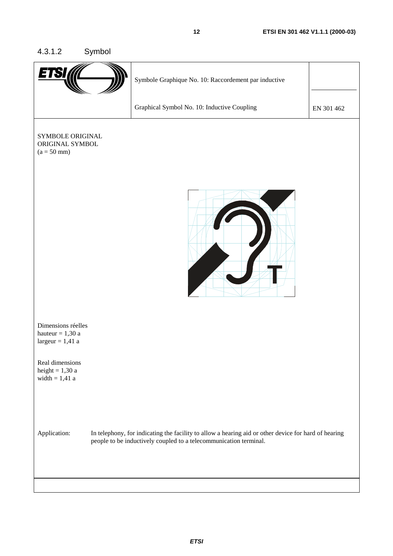#### 4.3.1.2 Symbol

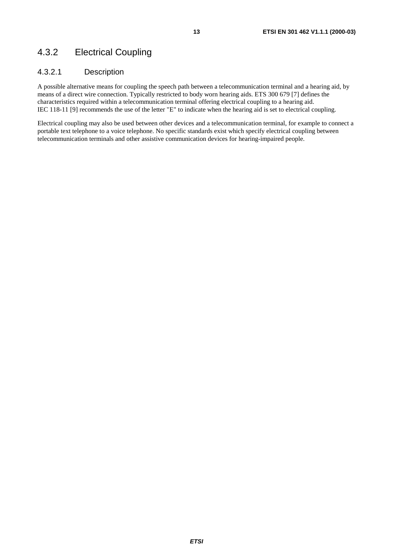### 4.3.2 Electrical Coupling

#### 4.3.2.1 Description

A possible alternative means for coupling the speech path between a telecommunication terminal and a hearing aid, by means of a direct wire connection. Typically restricted to body worn hearing aids. ETS 300 679 [7] defines the characteristics required within a telecommunication terminal offering electrical coupling to a hearing aid. IEC 118-11 [9] recommends the use of the letter "E" to indicate when the hearing aid is set to electrical coupling.

Electrical coupling may also be used between other devices and a telecommunication terminal, for example to connect a portable text telephone to a voice telephone. No specific standards exist which specify electrical coupling between telecommunication terminals and other assistive communication devices for hearing-impaired people.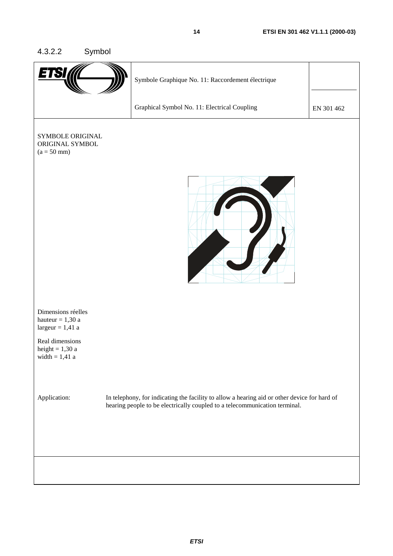#### 4.3.2.2 Symbol

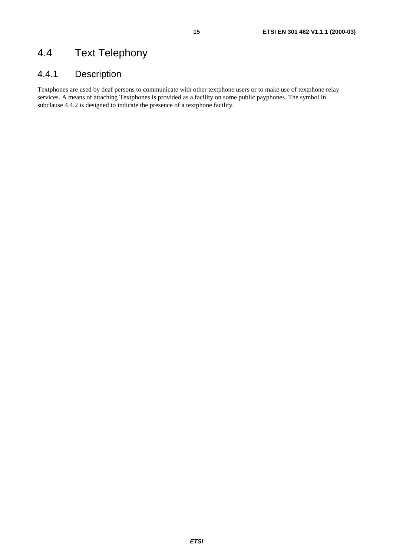# 4.4 Text Telephony

### 4.4.1 Description

Textphones are used by deaf persons to communicate with other textphone users or to make use of textphone relay services. A means of attaching Textphones is provided as a facility on some public payphones. The symbol in subclause 4.4.2 is designed to indicate the presence of a textphone facility.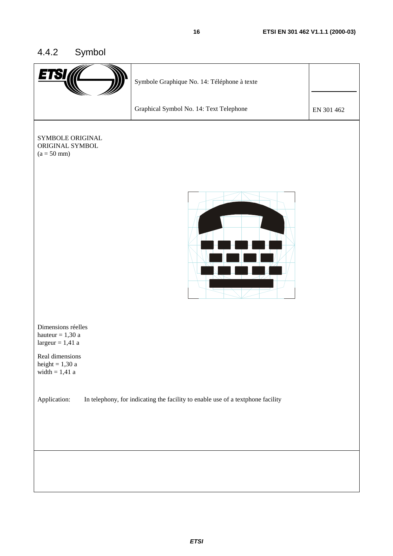### 4.4.2 Symbol

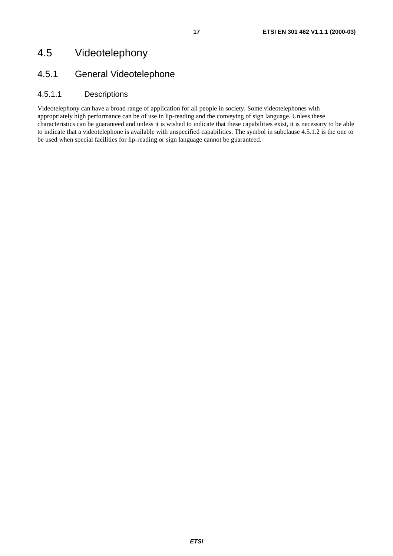### 4.5 Videotelephony

### 4.5.1 General Videotelephone

#### 4.5.1.1 Descriptions

Videotelephony can have a broad range of application for all people in society. Some videotelephones with appropriately high performance can be of use in lip-reading and the conveying of sign language. Unless these characteristics can be guaranteed and unless it is wished to indicate that these capabilities exist, it is necessary to be able to indicate that a videotelephone is available with unspecified capabilities. The symbol in subclause 4.5.1.2 is the one to be used when special facilities for lip-reading or sign language cannot be guaranteed.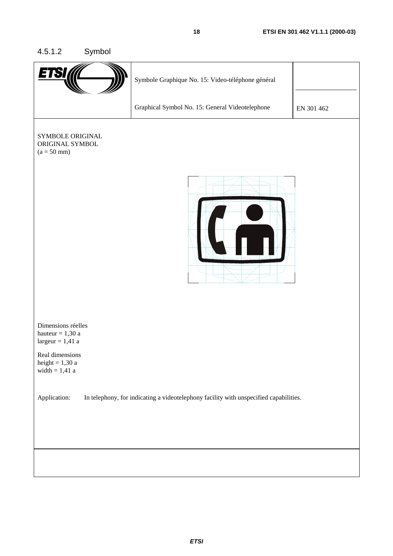#### 4.5.1.2 Symbol

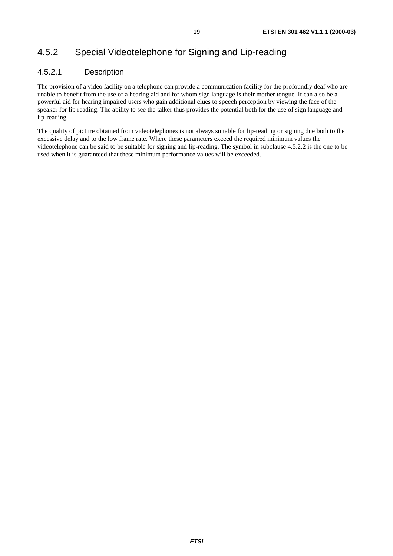### 4.5.2 Special Videotelephone for Signing and Lip-reading

#### 4.5.2.1 Description

The provision of a video facility on a telephone can provide a communication facility for the profoundly deaf who are unable to benefit from the use of a hearing aid and for whom sign language is their mother tongue. It can also be a powerful aid for hearing impaired users who gain additional clues to speech perception by viewing the face of the speaker for lip reading. The ability to see the talker thus provides the potential both for the use of sign language and lip-reading.

The quality of picture obtained from videotelephones is not always suitable for lip-reading or signing due both to the excessive delay and to the low frame rate. Where these parameters exceed the required minimum values the videotelephone can be said to be suitable for signing and lip-reading. The symbol in subclause 4.5.2.2 is the one to be used when it is guaranteed that these minimum performance values will be exceeded.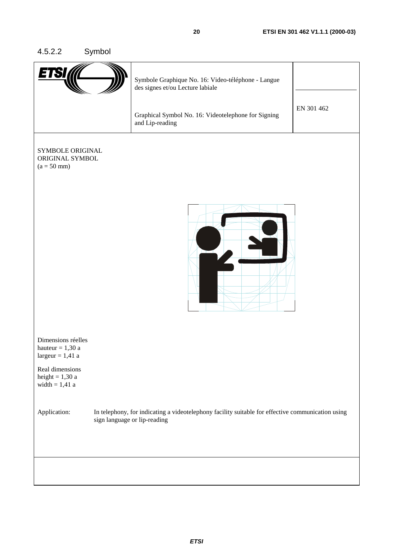### 4.5.2.2 Symbol

|                                                                | Symbole Graphique No. 16: Video-téléphone - Langue<br>des signes et/ou Lecture labiale<br>Graphical Symbol No. 16: Videotelephone for Signing | EN 301 462 |
|----------------------------------------------------------------|-----------------------------------------------------------------------------------------------------------------------------------------------|------------|
|                                                                | and Lip-reading                                                                                                                               |            |
|                                                                |                                                                                                                                               |            |
| SYMBOLE ORIGINAL<br>ORIGINAL SYMBOL<br>$(a = 50$ mm)           |                                                                                                                                               |            |
|                                                                |                                                                                                                                               |            |
|                                                                |                                                                                                                                               |            |
| Dimensions réelles<br>hauteur = $1,30$ a<br>$largeur = 1,41$ a |                                                                                                                                               |            |
| Real dimensions<br>height = $1,30$ a<br>width $= 1,41$ a       |                                                                                                                                               |            |
| Application:                                                   | In telephony, for indicating a videotelephony facility suitable for effective communication using<br>sign language or lip-reading             |            |
|                                                                |                                                                                                                                               |            |